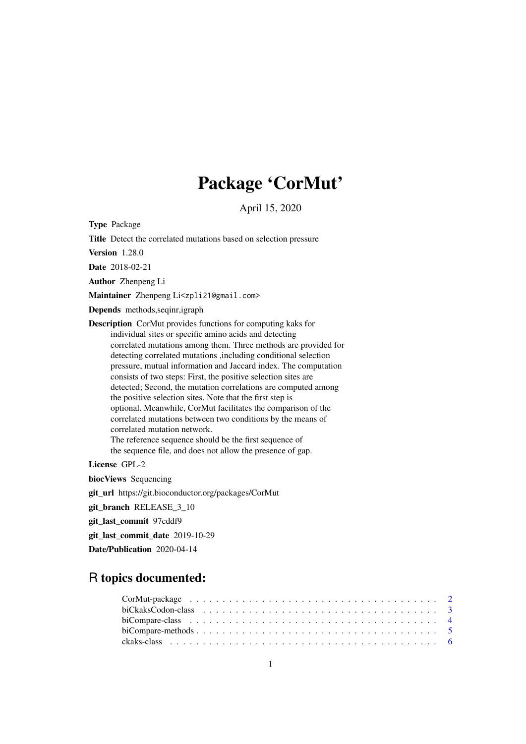# Package 'CorMut'

April 15, 2020

<span id="page-0-0"></span>Type Package

Title Detect the correlated mutations based on selection pressure

Version 1.28.0

Date 2018-02-21

Author Zhenpeng Li

Maintainer Zhenpeng Li<zpli21@gmail.com>

Depends methods,seqinr,igraph

Description CorMut provides functions for computing kaks for individual sites or specific amino acids and detecting correlated mutations among them. Three methods are provided for detecting correlated mutations ,including conditional selection pressure, mutual information and Jaccard index. The computation consists of two steps: First, the positive selection sites are detected; Second, the mutation correlations are computed among the positive selection sites. Note that the first step is optional. Meanwhile, CorMut facilitates the comparison of the correlated mutations between two conditions by the means of correlated mutation network. The reference sequence should be the first sequence of the sequence file, and does not allow the presence of gap.

License GPL-2

biocViews Sequencing

git\_url https://git.bioconductor.org/packages/CorMut

git\_branch RELEASE\_3\_10

git\_last\_commit 97cddf9

git last commit date 2019-10-29

Date/Publication 2020-04-14

# R topics documented:

| $CorMut\text{-}package \dots \dots \dots \dots \dots \dots \dots \dots \dots \dots \dots \dots \dots \dots \dots \dots \dots \dots$ |  |  |  |
|-------------------------------------------------------------------------------------------------------------------------------------|--|--|--|
|                                                                                                                                     |  |  |  |
|                                                                                                                                     |  |  |  |
|                                                                                                                                     |  |  |  |
|                                                                                                                                     |  |  |  |
|                                                                                                                                     |  |  |  |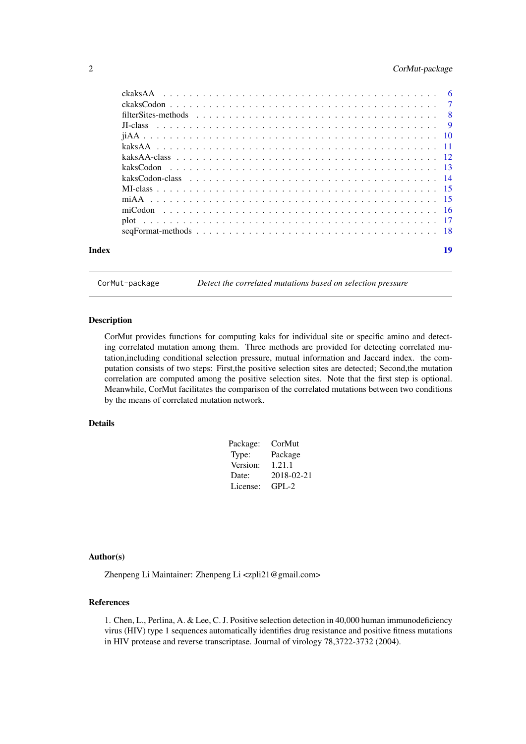# <span id="page-1-0"></span>2 CorMut-package

| Index | 19 |
|-------|----|
|       |    |
|       |    |
|       |    |
|       |    |
|       |    |
|       |    |
|       |    |
|       |    |
|       |    |
|       |    |
|       |    |
|       |    |
|       |    |
|       |    |

CorMut-package *Detect the correlated mutations based on selection pressure*

#### Description

CorMut provides functions for computing kaks for individual site or specific amino and detecting correlated mutation among them. Three methods are provided for detecting correlated mutation,including conditional selection pressure, mutual information and Jaccard index. the computation consists of two steps: First,the positive selection sites are detected; Second,the mutation correlation are computed among the positive selection sites. Note that the first step is optional. Meanwhile, CorMut facilitates the comparison of the correlated mutations between two conditions by the means of correlated mutation network.

# Details

| CorMut     |
|------------|
| Package    |
| 1.21.1     |
| 2018-02-21 |
| $GPL-2$    |
|            |

# Author(s)

Zhenpeng Li Maintainer: Zhenpeng Li <zpli21@gmail.com>

#### References

1. Chen, L., Perlina, A. & Lee, C. J. Positive selection detection in 40,000 human immunodeficiency virus (HIV) type 1 sequences automatically identifies drug resistance and positive fitness mutations in HIV protease and reverse transcriptase. Journal of virology 78,3722-3732 (2004).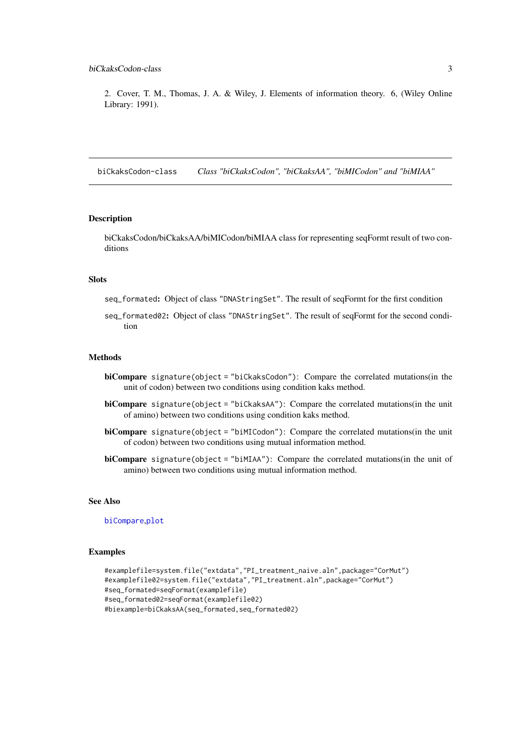<span id="page-2-0"></span>2. Cover, T. M., Thomas, J. A. & Wiley, J. Elements of information theory. 6, (Wiley Online Library: 1991).

biCkaksCodon-class *Class "biCkaksCodon", "biCkaksAA", "biMICodon" and "biMIAA"*

# Description

biCkaksCodon/biCkaksAA/biMICodon/biMIAA class for representing seqFormt result of two conditions

# Slots

seq\_formated: Object of class "DNAStringSet". The result of seqFormt for the first condition

seq\_formated02: Object of class "DNAStringSet". The result of seqFormt for the second condition

#### Methods

- biCompare signature(object = "biCkaksCodon"): Compare the correlated mutations(in the unit of codon) between two conditions using condition kaks method.
- biCompare signature(object = "biCkaksAA"): Compare the correlated mutations(in the unit of amino) between two conditions using condition kaks method.
- biCompare signature(object = "biMICodon"): Compare the correlated mutations(in the unit of codon) between two conditions using mutual information method.
- biCompare signature(object = "biMIAA"): Compare the correlated mutations(in the unit of amino) between two conditions using mutual information method.

# See Also

[biCompare](#page-4-1),[plot](#page-16-1)

```
#examplefile=system.file("extdata","PI_treatment_naive.aln",package="CorMut")
#examplefile02=system.file("extdata","PI_treatment.aln",package="CorMut")
#seq_formated=seqFormat(examplefile)
#seq_formated02=seqFormat(examplefile02)
#biexample=biCkaksAA(seq_formated,seq_formated02)
```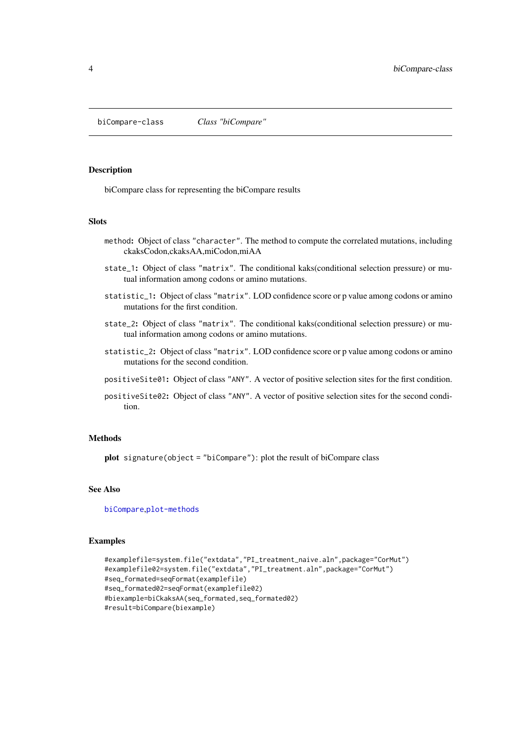<span id="page-3-1"></span><span id="page-3-0"></span>biCompare-class *Class "biCompare"*

# Description

biCompare class for representing the biCompare results

# Slots

- method: Object of class "character". The method to compute the correlated mutations, including ckaksCodon,ckaksAA,miCodon,miAA
- state\_1: Object of class "matrix". The conditional kaks(conditional selection pressure) or mutual information among codons or amino mutations.
- statistic\_1: Object of class "matrix". LOD confidence score or p value among codons or amino mutations for the first condition.
- state\_2: Object of class "matrix". The conditional kaks(conditional selection pressure) or mutual information among codons or amino mutations.
- statistic\_2: Object of class "matrix". LOD confidence score or p value among codons or amino mutations for the second condition.
- positiveSite01: Object of class "ANY". A vector of positive selection sites for the first condition.
- positiveSite02: Object of class "ANY". A vector of positive selection sites for the second condition.

#### Methods

plot signature(object = "biCompare"): plot the result of biCompare class

#### See Also

[biCompare](#page-4-1),[plot-methods](#page-0-0)

```
#examplefile=system.file("extdata","PI_treatment_naive.aln",package="CorMut")
#examplefile02=system.file("extdata","PI_treatment.aln",package="CorMut")
#seq_formated=seqFormat(examplefile)
#seq_formated02=seqFormat(examplefile02)
#biexample=biCkaksAA(seq_formated,seq_formated02)
#result=biCompare(biexample)
```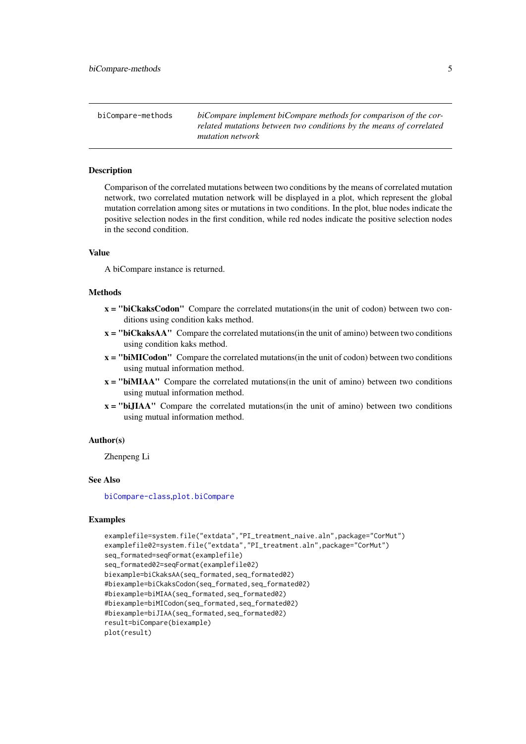<span id="page-4-0"></span>

| biCompare-methods | biCompare implement biCompare methods for comparison of the cor-    |
|-------------------|---------------------------------------------------------------------|
|                   | related mutations between two conditions by the means of correlated |
|                   | <i>mutation network</i>                                             |

#### <span id="page-4-1"></span>Description

Comparison of the correlated mutations between two conditions by the means of correlated mutation network, two correlated mutation network will be displayed in a plot, which represent the global mutation correlation among sites or mutations in two conditions. In the plot, blue nodes indicate the positive selection nodes in the first condition, while red nodes indicate the positive selection nodes in the second condition.

#### Value

A biCompare instance is returned.

#### Methods

- $x =$  "biCkaksCodon" Compare the correlated mutations(in the unit of codon) between two conditions using condition kaks method.
- x = "biCkaksAA" Compare the correlated mutations(in the unit of amino) between two conditions using condition kaks method.
- $x =$  "biMICodon" Compare the correlated mutations (in the unit of codon) between two conditions using mutual information method.
- $x =$  "biMIAA" Compare the correlated mutations(in the unit of amino) between two conditions using mutual information method.
- x = "biJIAA" Compare the correlated mutations(in the unit of amino) between two conditions using mutual information method.

#### Author(s)

Zhenpeng Li

# See Also

[biCompare-class](#page-3-1),[plot.biCompare](#page-16-2)

```
examplefile=system.file("extdata","PI_treatment_naive.aln",package="CorMut")
examplefile02=system.file("extdata","PI_treatment.aln",package="CorMut")
seq_formated=seqFormat(examplefile)
seq_formated02=seqFormat(examplefile02)
biexample=biCkaksAA(seq_formated,seq_formated02)
#biexample=biCkaksCodon(seq_formated,seq_formated02)
#biexample=biMIAA(seq_formated,seq_formated02)
#biexample=biMICodon(seq_formated,seq_formated02)
#biexample=biJIAA(seq_formated,seq_formated02)
result=biCompare(biexample)
plot(result)
```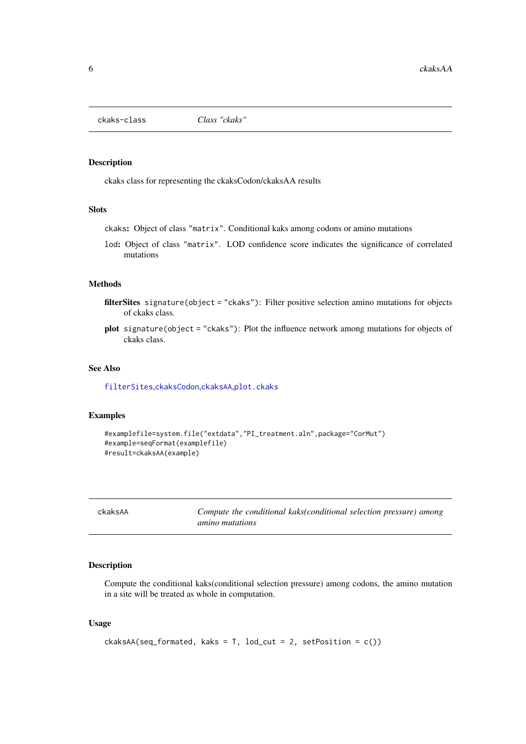<span id="page-5-0"></span>ckaks-class *Class "ckaks"*

# Description

ckaks class for representing the ckaksCodon/ckaksAA results

# Slots

ckaks: Object of class "matrix". Conditional kaks among codons or amino mutations

lod: Object of class "matrix". LOD confidence score indicates the significance of correlated mutations

#### Methods

filterSites signature(object = "ckaks"): Filter positive selection amino mutations for objects of ckaks class.

plot signature(object = "ckaks"): Plot the influence network among mutations for objects of ckaks class.

# See Also

[filterSites](#page-7-1),[ckaksCodon](#page-6-1),[ckaksAA](#page-5-1),[plot.ckaks](#page-16-2)

#### Examples

```
#examplefile=system.file("extdata","PI_treatment.aln",package="CorMut")
#example=seqFormat(examplefile)
#result=ckaksAA(example)
```
<span id="page-5-1"></span>ckaksAA *Compute the conditional kaks(conditional selection pressure) among amino mutations*

#### Description

Compute the conditional kaks(conditional selection pressure) among codons, the amino mutation in a site will be treated as whole in computation.

# Usage

```
ckaksAA(seq_formated, kaks = T, lod-cut = 2, setPosition = c())
```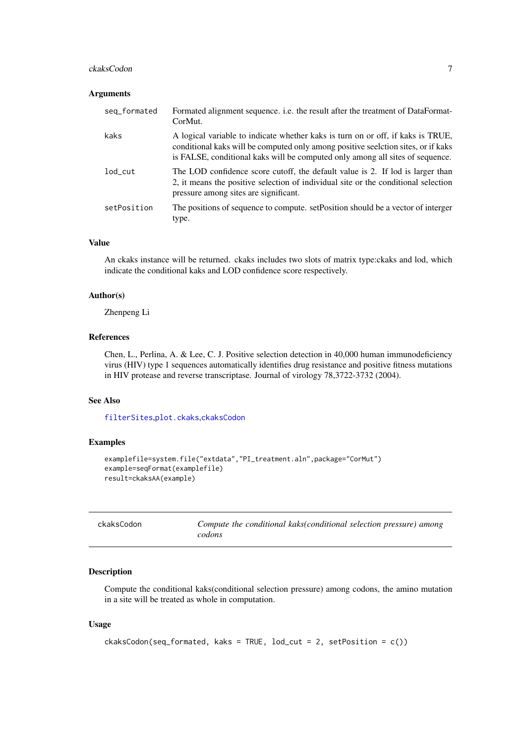#### <span id="page-6-0"></span>ckaksCodon 7 and 7 and 7 and 7 and 7 and 7 and 7 and 7 and 7 and 7 and 7 and 7 and 7 and 7 and 7 and 7 and 7 and 7 and 7 and 7 and 7 and 7 and 7 and 7 and 7 and 7 and 7 and 7 and 7 and 7 and 7 and 7 and 7 and 7 and 7 and 7

#### Arguments

| seq_formated | Formated alignment sequence. i.e. the result after the treatment of DataFormat-<br>CorMut.                                                                                                                                                            |
|--------------|-------------------------------------------------------------------------------------------------------------------------------------------------------------------------------------------------------------------------------------------------------|
| kaks         | A logical variable to indicate whether kaks is turn on or off, if kaks is TRUE,<br>conditional kaks will be computed only among positive seelction sites, or if kaks<br>is FALSE, conditional kaks will be computed only among all sites of sequence. |
| lod_cut      | The LOD confidence score cutoff, the default value is 2. If lod is larger than<br>2, it means the positive selection of individual site or the conditional selection<br>pressure among sites are significant.                                         |
| setPosition  | The positions of sequence to compute. set Position should be a vector of interger<br>type.                                                                                                                                                            |

#### Value

An ckaks instance will be returned. ckaks includes two slots of matrix type:ckaks and lod, which indicate the conditional kaks and LOD confidence score respectively.

# Author(s)

Zhenpeng Li

# References

Chen, L., Perlina, A. & Lee, C. J. Positive selection detection in 40,000 human immunodeficiency virus (HIV) type 1 sequences automatically identifies drug resistance and positive fitness mutations in HIV protease and reverse transcriptase. Journal of virology 78,3722-3732 (2004).

# See Also

[filterSites](#page-7-1),[plot.ckaks](#page-16-2),[ckaksCodon](#page-6-1)

# Examples

```
examplefile=system.file("extdata","PI_treatment.aln",package="CorMut")
example=seqFormat(examplefile)
result=ckaksAA(example)
```
<span id="page-6-1"></span>

| ckaksCodon | Compute the conditional kaks(conditional selection pressure) among |
|------------|--------------------------------------------------------------------|
|            | codons                                                             |

#### Description

Compute the conditional kaks(conditional selection pressure) among codons, the amino mutation in a site will be treated as whole in computation.

# Usage

```
ckaksCodon(seq_formated, kaks = TRUE, lod_cut = 2, setPosition = c())
```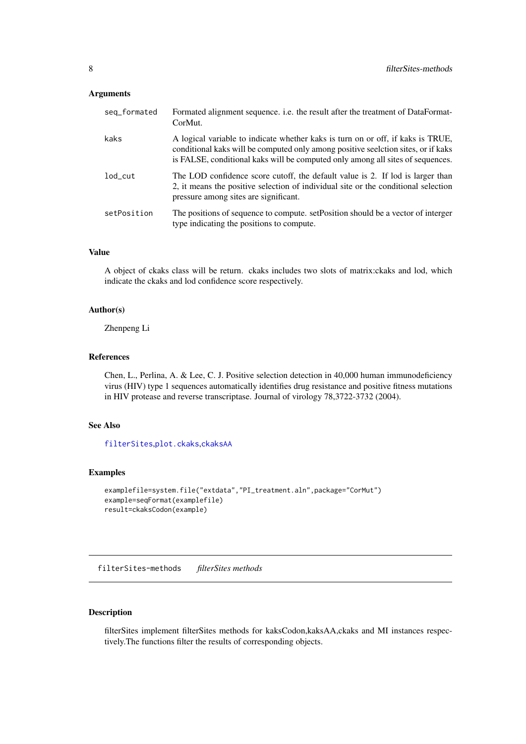#### <span id="page-7-0"></span>Arguments

| seq_formated   | Formated alignment sequence. i.e. the result after the treatment of DataFormat-<br>CorMut.                                                                                                                                                             |
|----------------|--------------------------------------------------------------------------------------------------------------------------------------------------------------------------------------------------------------------------------------------------------|
| kaks           | A logical variable to indicate whether kaks is turn on or off, if kaks is TRUE,<br>conditional kaks will be computed only among positive seelction sites, or if kaks<br>is FALSE, conditional kaks will be computed only among all sites of sequences. |
| $1$ od $_$ cut | The LOD confidence score cutoff, the default value is 2. If lod is larger than<br>2, it means the positive selection of individual site or the conditional selection<br>pressure among sites are significant.                                          |
| setPosition    | The positions of sequence to compute. set Position should be a vector of interger<br>type indicating the positions to compute.                                                                                                                         |

# Value

A object of ckaks class will be return. ckaks includes two slots of matrix:ckaks and lod, which indicate the ckaks and lod confidence score respectively.

### Author(s)

Zhenpeng Li

#### References

Chen, L., Perlina, A. & Lee, C. J. Positive selection detection in 40,000 human immunodeficiency virus (HIV) type 1 sequences automatically identifies drug resistance and positive fitness mutations in HIV protease and reverse transcriptase. Journal of virology 78,3722-3732 (2004).

# See Also

[filterSites](#page-7-1),[plot.ckaks](#page-16-2),[ckaksAA](#page-5-1)

# Examples

```
examplefile=system.file("extdata","PI_treatment.aln",package="CorMut")
example=seqFormat(examplefile)
result=ckaksCodon(example)
```
<span id="page-7-2"></span>filterSites-methods *filterSites methods*

# <span id="page-7-1"></span>Description

filterSites implement filterSites methods for kaksCodon,kaksAA,ckaks and MI instances respectively.The functions filter the results of corresponding objects.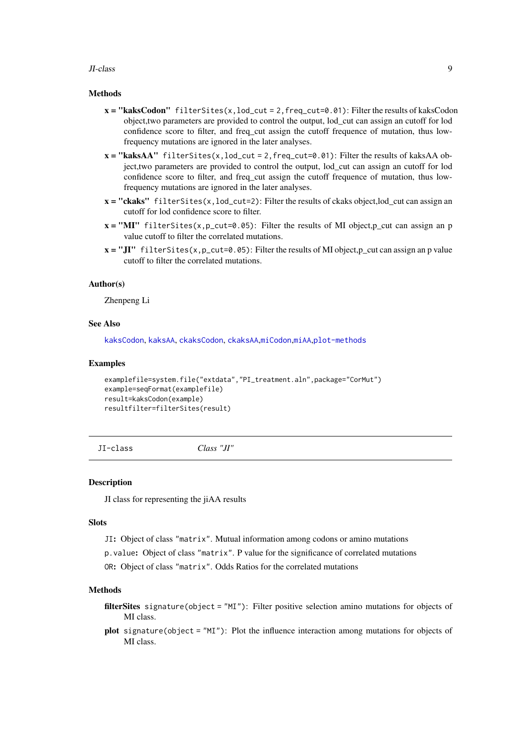#### <span id="page-8-0"></span>JI-class 9

#### Methods

- $x = "kaksCodon" filterSites(x, lod-cut = 2, freq-cut=0.01): Filter the results of kaksCodon$ object,two parameters are provided to control the output, lod\_cut can assign an cutoff for lod confidence score to filter, and freq\_cut assign the cutoff frequence of mutation, thus lowfrequency mutations are ignored in the later analyses.
- $x = "kaksAA"$  filterSites(x, lod\_cut = 2, freq\_cut=0.01): Filter the results of kaksAA object,two parameters are provided to control the output, lod\_cut can assign an cutoff for lod confidence score to filter, and freq\_cut assign the cutoff frequence of mutation, thus lowfrequency mutations are ignored in the later analyses.
- $x = "ckaks" filters(x, lod-cut=2): Filter the results of ckaks object, lod-cut can assign an$ cutoff for lod confidence score to filter.
- $x = "MI"$  filterSites(x, p\_cut=0.05): Filter the results of MI object, p\_cut can assign an p value cutoff to filter the correlated mutations.
- $x = "JI"$  filterSites(x, p\_cut=0.05): Filter the results of MI object, p\_cut can assign an p value cutoff to filter the correlated mutations.

#### Author(s)

Zhenpeng Li

# See Also

[kaksCodon](#page-12-1), [kaksAA](#page-10-1), [ckaksCodon](#page-6-1), [ckaksAA](#page-5-1),[miCodon](#page-15-1),[miAA](#page-14-1),[plot-methods](#page-0-0)

# Examples

```
examplefile=system.file("extdata","PI_treatment.aln",package="CorMut")
example=seqFormat(examplefile)
result=kaksCodon(example)
resultfilter=filterSites(result)
```
JI-class *Class "JI"*

#### Description

JI class for representing the jiAA results

# Slots

JI: Object of class "matrix". Mutual information among codons or amino mutations

p.value: Object of class "matrix". P value for the significance of correlated mutations

OR: Object of class "matrix". Odds Ratios for the correlated mutations

#### Methods

- filterSites signature(object = "MI"): Filter positive selection amino mutations for objects of MI class.
- plot signature(object = "MI"): Plot the influence interaction among mutations for objects of MI class.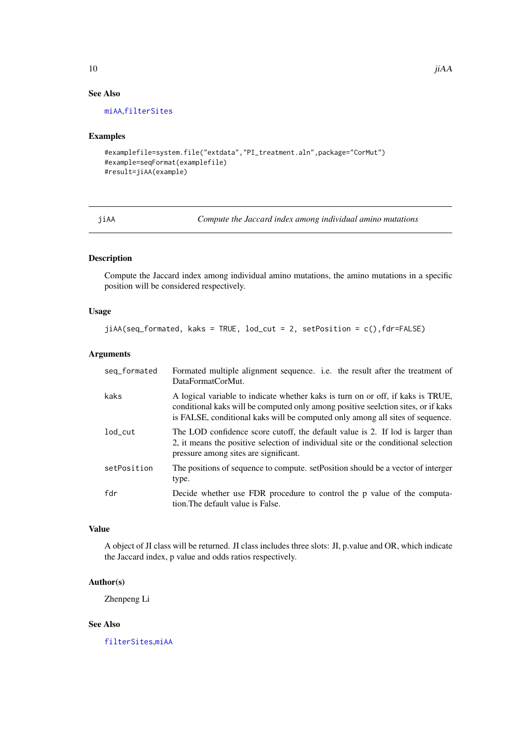# See Also

[miAA](#page-14-1),[filterSites](#page-7-1)

#### Examples

```
#examplefile=system.file("extdata","PI_treatment.aln",package="CorMut")
#example=seqFormat(examplefile)
#result=jiAA(example)
```
<span id="page-9-1"></span>jiAA *Compute the Jaccard index among individual amino mutations*

# Description

Compute the Jaccard index among individual amino mutations, the amino mutations in a specific position will be considered respectively.

# Usage

```
jiAA(seq_formated, kaks = TRUE, lod_cut = 2, setPosition = c(),fdr=FALSE)
```
#### Arguments

| seq_formated   | Formated multiple alignment sequence. i.e. the result after the treatment of<br>DataFormatCorMut.                                                                                                                                                     |
|----------------|-------------------------------------------------------------------------------------------------------------------------------------------------------------------------------------------------------------------------------------------------------|
| kaks           | A logical variable to indicate whether kaks is turn on or off, if kaks is TRUE,<br>conditional kaks will be computed only among positive seelction sites, or if kaks<br>is FALSE, conditional kaks will be computed only among all sites of sequence. |
| $1$ od $_$ cut | The LOD confidence score cutoff, the default value is 2. If lod is larger than<br>2, it means the positive selection of individual site or the conditional selection<br>pressure among sites are significant.                                         |
| setPosition    | The positions of sequence to compute. set Position should be a vector of interger<br>type.                                                                                                                                                            |
| fdr            | Decide whether use FDR procedure to control the p value of the computa-<br>tion. The default value is False.                                                                                                                                          |

# Value

A object of JI class will be returned. JI class includes three slots: JI, p.value and OR, which indicate the Jaccard index, p value and odds ratios respectively.

#### Author(s)

Zhenpeng Li

# See Also

[filterSites](#page-7-1),[miAA](#page-14-1)

<span id="page-9-0"></span>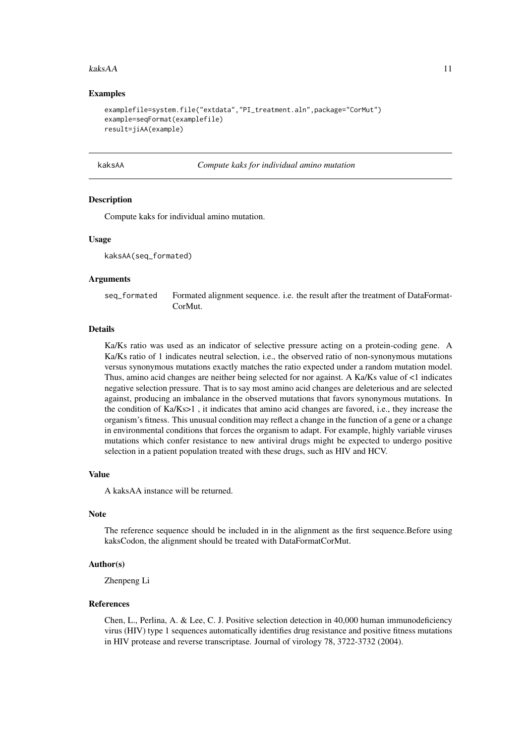#### <span id="page-10-0"></span>kaksAA 11

#### Examples

```
examplefile=system.file("extdata","PI_treatment.aln",package="CorMut")
example=seqFormat(examplefile)
result=jiAA(example)
```
kaksAA *Compute kaks for individual amino mutation*

#### Description

Compute kaks for individual amino mutation.

#### Usage

kaksAA(seq\_formated)

#### Arguments

seq\_formated Formated alignment sequence. i.e. the result after the treatment of DataFormat-CorMut.

#### Details

Ka/Ks ratio was used as an indicator of selective pressure acting on a protein-coding gene. A Ka/Ks ratio of 1 indicates neutral selection, i.e., the observed ratio of non-synonymous mutations versus synonymous mutations exactly matches the ratio expected under a random mutation model. Thus, amino acid changes are neither being selected for nor against. A Ka/Ks value of <1 indicates negative selection pressure. That is to say most amino acid changes are deleterious and are selected against, producing an imbalance in the observed mutations that favors synonymous mutations. In the condition of Ka/Ks>1 , it indicates that amino acid changes are favored, i.e., they increase the organism's fitness. This unusual condition may reflect a change in the function of a gene or a change in environmental conditions that forces the organism to adapt. For example, highly variable viruses mutations which confer resistance to new antiviral drugs might be expected to undergo positive selection in a patient population treated with these drugs, such as HIV and HCV.

#### Value

A kaksAA instance will be returned.

#### Note

The reference sequence should be included in in the alignment as the first sequence.Before using kaksCodon, the alignment should be treated with DataFormatCorMut.

# Author(s)

Zhenpeng Li

#### References

Chen, L., Perlina, A. & Lee, C. J. Positive selection detection in 40,000 human immunodeficiency virus (HIV) type 1 sequences automatically identifies drug resistance and positive fitness mutations in HIV protease and reverse transcriptase. Journal of virology 78, 3722-3732 (2004).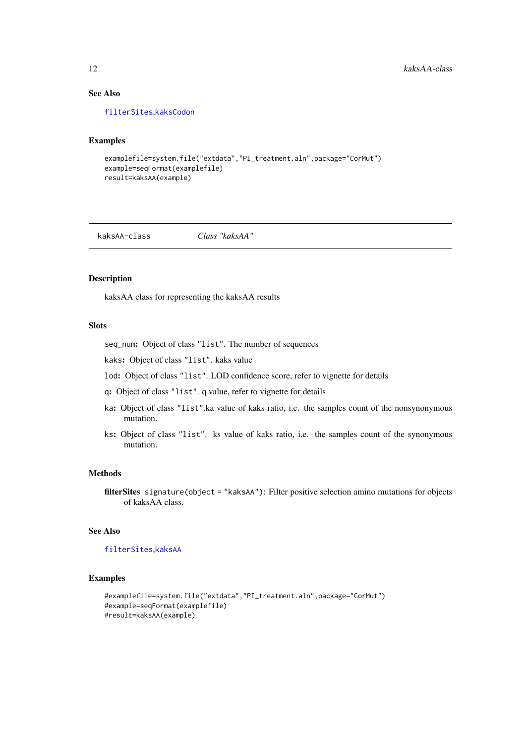# See Also

[filterSites](#page-7-1),[kaksCodon](#page-12-1)

#### Examples

```
examplefile=system.file("extdata","PI_treatment.aln",package="CorMut")
example=seqFormat(examplefile)
result=kaksAA(example)
```
kaksAA-class *Class "kaksAA"*

### Description

kaksAA class for representing the kaksAA results

# Slots

seq\_num: Object of class "list". The number of sequences

kaks: Object of class "list". kaks value

lod: Object of class "list". LOD confidence score, refer to vignette for details

q: Object of class "list". q value, refer to vignette for details

- ka: Object of class "list".ka value of kaks ratio, i.e. the samples count of the nonsynonymous mutation.
- ks: Object of class "list". ks value of kaks ratio, i.e. the samples count of the synonymous mutation.

#### Methods

filterSites signature(object = "kaksAA"): Filter positive selection amino mutations for objects of kaksAA class.

# See Also

# [filterSites](#page-7-1),[kaksAA](#page-10-1)

```
#examplefile=system.file("extdata","PI_treatment.aln",package="CorMut")
#example=seqFormat(examplefile)
#result=kaksAA(example)
```
<span id="page-11-0"></span>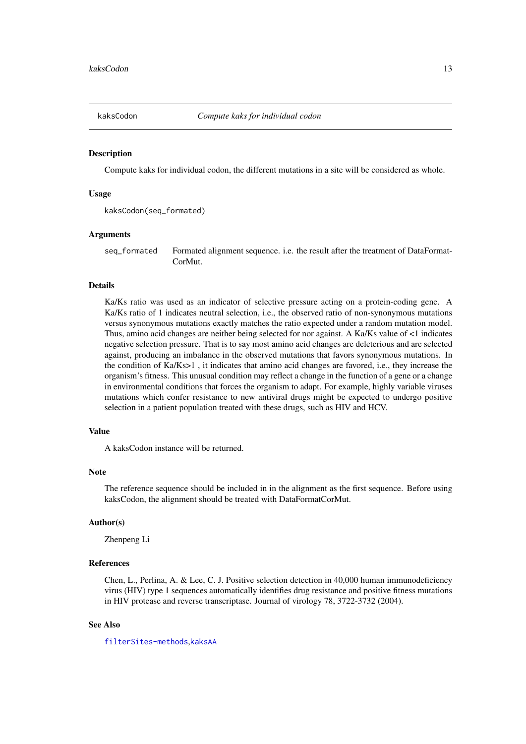<span id="page-12-1"></span><span id="page-12-0"></span>

#### Description

Compute kaks for individual codon, the different mutations in a site will be considered as whole.

#### Usage

```
kaksCodon(seq_formated)
```
#### Arguments

seq\_formated Formated alignment sequence. i.e. the result after the treatment of DataFormat-CorMut.

# Details

Ka/Ks ratio was used as an indicator of selective pressure acting on a protein-coding gene. A Ka/Ks ratio of 1 indicates neutral selection, i.e., the observed ratio of non-synonymous mutations versus synonymous mutations exactly matches the ratio expected under a random mutation model. Thus, amino acid changes are neither being selected for nor against. A Ka/Ks value of <1 indicates negative selection pressure. That is to say most amino acid changes are deleterious and are selected against, producing an imbalance in the observed mutations that favors synonymous mutations. In the condition of Ka/Ks>1 , it indicates that amino acid changes are favored, i.e., they increase the organism's fitness. This unusual condition may reflect a change in the function of a gene or a change in environmental conditions that forces the organism to adapt. For example, highly variable viruses mutations which confer resistance to new antiviral drugs might be expected to undergo positive selection in a patient population treated with these drugs, such as HIV and HCV.

# Value

A kaksCodon instance will be returned.

### Note

The reference sequence should be included in in the alignment as the first sequence. Before using kaksCodon, the alignment should be treated with DataFormatCorMut.

#### Author(s)

Zhenpeng Li

#### References

Chen, L., Perlina, A. & Lee, C. J. Positive selection detection in 40,000 human immunodeficiency virus (HIV) type 1 sequences automatically identifies drug resistance and positive fitness mutations in HIV protease and reverse transcriptase. Journal of virology 78, 3722-3732 (2004).

# See Also

[filterSites-methods](#page-7-2),[kaksAA](#page-10-1)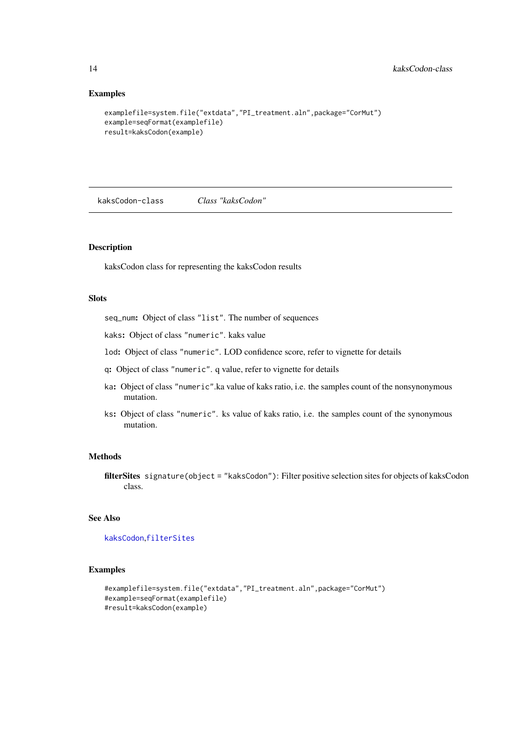# Examples

```
examplefile=system.file("extdata","PI_treatment.aln",package="CorMut")
example=seqFormat(examplefile)
result=kaksCodon(example)
```
kaksCodon-class *Class "kaksCodon"*

# Description

kaksCodon class for representing the kaksCodon results

# Slots

seq\_num: Object of class "list". The number of sequences

kaks: Object of class "numeric". kaks value

lod: Object of class "numeric". LOD confidence score, refer to vignette for details

- q: Object of class "numeric". q value, refer to vignette for details
- ka: Object of class "numeric".ka value of kaks ratio, i.e. the samples count of the nonsynonymous mutation.
- ks: Object of class "numeric". ks value of kaks ratio, i.e. the samples count of the synonymous mutation.

#### Methods

filterSites signature(object = "kaksCodon"): Filter positive selection sites for objects of kaksCodon class.

#### See Also

[kaksCodon](#page-12-1),[filterSites](#page-7-1)

```
#examplefile=system.file("extdata","PI_treatment.aln",package="CorMut")
#example=seqFormat(examplefile)
#result=kaksCodon(example)
```
<span id="page-13-0"></span>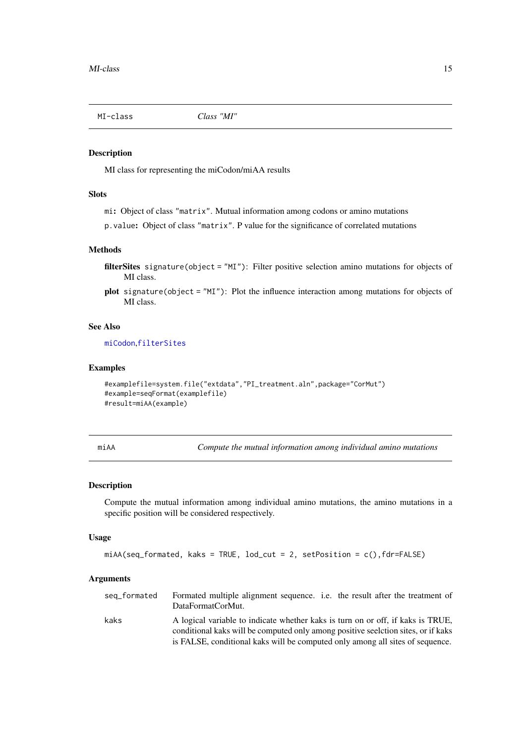<span id="page-14-0"></span>MI-class *Class "MI"*

# Description

MI class for representing the miCodon/miAA results

# Slots

mi: Object of class "matrix". Mutual information among codons or amino mutations

p.value: Object of class "matrix". P value for the significance of correlated mutations

#### Methods

- filterSites signature(object = "MI"): Filter positive selection amino mutations for objects of MI class.
- plot signature(object = "MI"): Plot the influence interaction among mutations for objects of MI class.

# See Also

[miCodon](#page-15-1),[filterSites](#page-7-1)

# Examples

```
#examplefile=system.file("extdata","PI_treatment.aln",package="CorMut")
#example=seqFormat(examplefile)
#result=miAA(example)
```
<span id="page-14-1"></span>

miAA *Compute the mutual information among individual amino mutations*

#### Description

Compute the mutual information among individual amino mutations, the amino mutations in a specific position will be considered respectively.

#### Usage

```
miAA(seq_formated, kaks = TRUE, lod_cut = 2, setPosition = c(),fdr=FALSE)
```
# Arguments

| seq_formated | Formated multiple alignment sequence. i.e. the result after the treatment of<br>DataFormatCorMut.                                                                    |
|--------------|----------------------------------------------------------------------------------------------------------------------------------------------------------------------|
| kaks         | A logical variable to indicate whether kaks is turn on or off, if kaks is TRUE,<br>conditional kaks will be computed only among positive seelction sites, or if kaks |
|              | is FALSE, conditional kaks will be computed only among all sites of sequence.                                                                                        |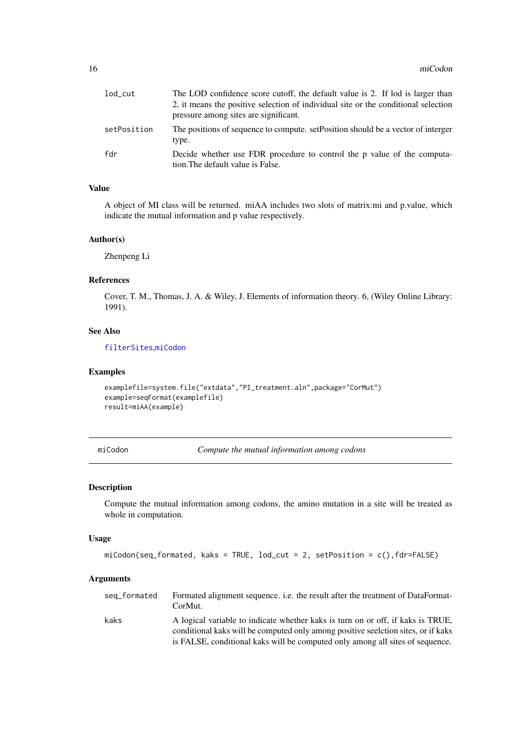<span id="page-15-0"></span>

| $1$ od $\_cut$ | The LOD confidence score cutoff, the default value is 2. If lod is larger than<br>2, it means the positive selection of individual site or the conditional selection<br>pressure among sites are significant. |
|----------------|---------------------------------------------------------------------------------------------------------------------------------------------------------------------------------------------------------------|
| setPosition    | The positions of sequence to compute, set Position should be a vector of interger<br>type.                                                                                                                    |
| fdr            | Decide whether use FDR procedure to control the p value of the computa-<br>tion. The default value is False.                                                                                                  |

# Value

A object of MI class will be returned. miAA includes two slots of matrix:mi and p.value, which indicate the mutual information and p value respectively.

#### Author(s)

Zhenpeng Li

#### References

Cover, T. M., Thomas, J. A. & Wiley, J. Elements of information theory. 6, (Wiley Online Library: 1991).

# See Also

[filterSites](#page-7-1),[miCodon](#page-15-1)

# Examples

```
examplefile=system.file("extdata","PI_treatment.aln",package="CorMut")
example=seqFormat(examplefile)
result=miAA(example)
```
<span id="page-15-1"></span>miCodon *Compute the mutual information among codons*

# Description

Compute the mutual information among codons, the amino mutation in a site will be treated as whole in computation.

# Usage

```
miCodon(seq_formated, kaks = TRUE, lod_cut = 2, setPosition = c(),fdr=FALSE)
```
# Arguments

| seq_formated | Formated alignment sequence, <i>i.e.</i> the result after the treatment of DataFormat-<br>CorMut.                                                                     |
|--------------|-----------------------------------------------------------------------------------------------------------------------------------------------------------------------|
| kaks         | A logical variable to indicate whether kaks is turn on or off, if kaks is TRUE,<br>conditional kake will be computed only among positive seelection sites, or if kake |
|              | is FALSE, conditional kaks will be computed only among all sites of sequence.                                                                                         |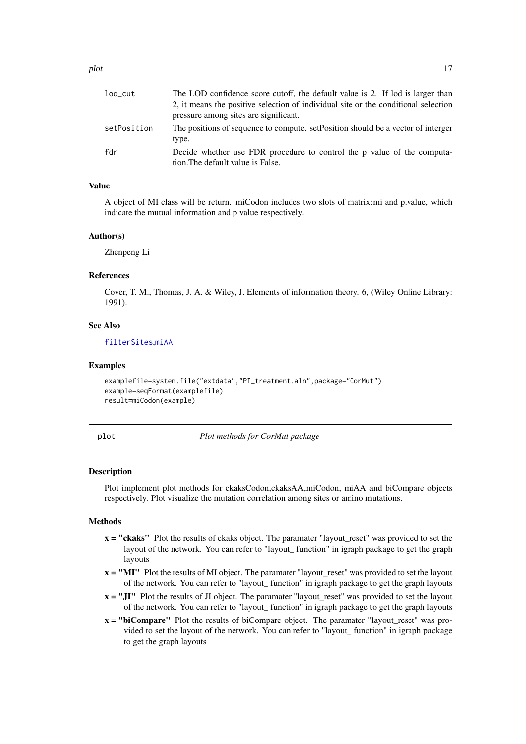<span id="page-16-0"></span>

| lod_cut     | The LOD confidence score cutoff, the default value is 2. If lod is larger than<br>2, it means the positive selection of individual site or the conditional selection<br>pressure among sites are significant. |
|-------------|---------------------------------------------------------------------------------------------------------------------------------------------------------------------------------------------------------------|
| setPosition | The positions of sequence to compute. set Position should be a vector of interger<br>type.                                                                                                                    |
| fdr         | Decide whether use FDR procedure to control the p value of the computa-<br>tion. The default value is False.                                                                                                  |

#### Value

A object of MI class will be return. miCodon includes two slots of matrix:mi and p.value, which indicate the mutual information and p value respectively.

#### Author(s)

Zhenpeng Li

# References

Cover, T. M., Thomas, J. A. & Wiley, J. Elements of information theory. 6, (Wiley Online Library: 1991).

# See Also

[filterSites](#page-7-1),[miAA](#page-14-1)

#### Examples

```
examplefile=system.file("extdata","PI_treatment.aln",package="CorMut")
example=seqFormat(examplefile)
result=miCodon(example)
```
<span id="page-16-1"></span>plot *Plot methods for CorMut package*

#### <span id="page-16-2"></span>Description

Plot implement plot methods for ckaksCodon,ckaksAA,miCodon, miAA and biCompare objects respectively. Plot visualize the mutation correlation among sites or amino mutations.

# **Methods**

- x = "ckaks" Plot the results of ckaks object. The paramater "layout\_reset" was provided to set the layout of the network. You can refer to "layout\_ function" in igraph package to get the graph layouts
- x = "MI" Plot the results of MI object. The paramater "layout\_reset" was provided to set the layout of the network. You can refer to "layout\_ function" in igraph package to get the graph layouts
- $x = "JI"$  Plot the results of JI object. The paramater "layout\_reset" was provided to set the layout of the network. You can refer to "layout\_ function" in igraph package to get the graph layouts
- x = "biCompare" Plot the results of biCompare object. The paramater "layout\_reset" was provided to set the layout of the network. You can refer to "layout\_ function" in igraph package to get the graph layouts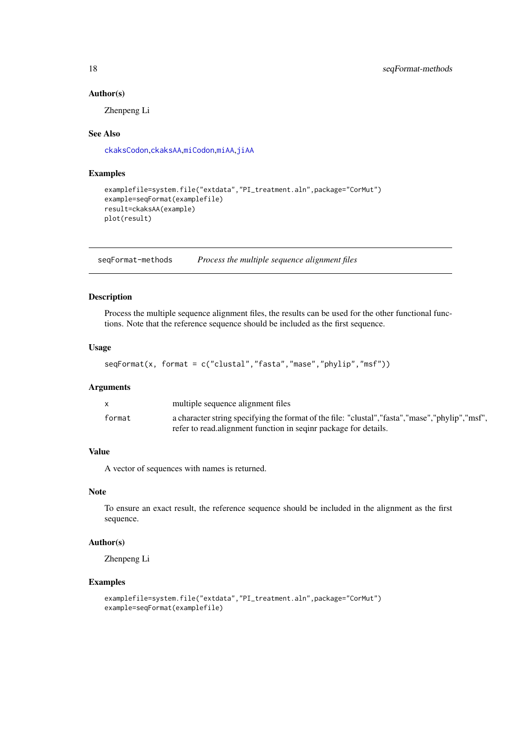# Author(s)

Zhenpeng Li

#### See Also

[ckaksCodon](#page-6-1),[ckaksAA](#page-5-1),[miCodon](#page-15-1),[miAA](#page-14-1),[jiAA](#page-9-1)

#### Examples

```
examplefile=system.file("extdata","PI_treatment.aln",package="CorMut")
example=seqFormat(examplefile)
result=ckaksAA(example)
plot(result)
```
seqFormat-methods *Process the multiple sequence alignment files*

# Description

Process the multiple sequence alignment files, the results can be used for the other functional functions. Note that the reference sequence should be included as the first sequence.

# Usage

```
seqFormat(x, format = c("clustal","fasta","mase","phylip","msf"))
```
# Arguments

|        | multiple sequence alignment files                                                                  |
|--------|----------------------------------------------------------------------------------------------------|
| format | a character string specifying the format of the file: "clustal", "fasta", "mase", "phylip", "msf", |
|        | refer to read, alignment function in seging package for details.                                   |

# Value

A vector of sequences with names is returned.

# Note

To ensure an exact result, the reference sequence should be included in the alignment as the first sequence.

# Author(s)

Zhenpeng Li

```
examplefile=system.file("extdata","PI_treatment.aln",package="CorMut")
example=seqFormat(examplefile)
```
<span id="page-17-0"></span>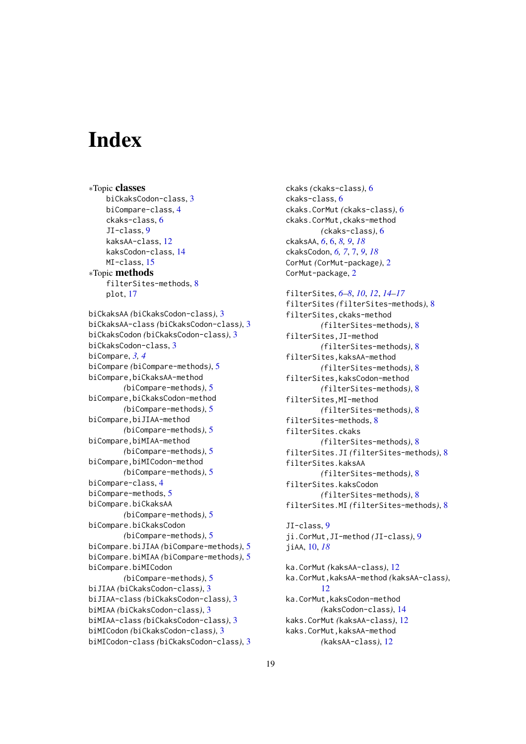# <span id="page-18-0"></span>Index

∗Topic classes biCkaksCodon-class, [3](#page-2-0) biCompare-class, [4](#page-3-0) ckaks-class, [6](#page-5-0) JI-class, [9](#page-8-0) kaksAA-class, [12](#page-11-0) kaksCodon-class, [14](#page-13-0) MI-class, [15](#page-14-0) ∗Topic methods filterSites-methods, [8](#page-7-0) plot, [17](#page-16-0) biCkaksAA *(*biCkaksCodon-class*)*, [3](#page-2-0) biCkaksAA-class *(*biCkaksCodon-class*)*, [3](#page-2-0) biCkaksCodon *(*biCkaksCodon-class*)*, [3](#page-2-0) biCkaksCodon-class, [3](#page-2-0) biCompare, *[3,](#page-2-0) [4](#page-3-0)* biCompare *(*biCompare-methods*)*, [5](#page-4-0) biCompare,biCkaksAA-method *(*biCompare-methods*)*, [5](#page-4-0) biCompare,biCkaksCodon-method *(*biCompare-methods*)*, [5](#page-4-0) biCompare,biJIAA-method *(*biCompare-methods*)*, [5](#page-4-0) biCompare,biMIAA-method *(*biCompare-methods*)*, [5](#page-4-0) biCompare,biMICodon-method *(*biCompare-methods*)*, [5](#page-4-0) biCompare-class, [4](#page-3-0) biCompare-methods, [5](#page-4-0) biCompare.biCkaksAA *(*biCompare-methods*)*, [5](#page-4-0) biCompare.biCkaksCodon *(*biCompare-methods*)*, [5](#page-4-0) biCompare.biJIAA *(*biCompare-methods*)*, [5](#page-4-0) biCompare.biMIAA *(*biCompare-methods*)*, [5](#page-4-0) biCompare.biMICodon *(*biCompare-methods*)*, [5](#page-4-0) biJIAA *(*biCkaksCodon-class*)*, [3](#page-2-0) biJIAA-class *(*biCkaksCodon-class*)*, [3](#page-2-0) biMIAA *(*biCkaksCodon-class*)*, [3](#page-2-0) biMIAA-class *(*biCkaksCodon-class*)*, [3](#page-2-0) biMICodon *(*biCkaksCodon-class*)*, [3](#page-2-0) biMICodon-class *(*biCkaksCodon-class*)*, [3](#page-2-0) ckaks *(*ckaks-class*)*, [6](#page-5-0) ckaks-class, [6](#page-5-0) ckaks.CorMut *(*ckaks-class*)*, [6](#page-5-0) ckaks.CorMut,ckaks-method *(*ckaks-class*)*, [6](#page-5-0) ckaksAA, *[6](#page-5-0)*, [6,](#page-5-0) *[8,](#page-7-0) [9](#page-8-0)*, *[18](#page-17-0)* ckaksCodon, *[6,](#page-5-0) [7](#page-6-0)*, [7,](#page-6-0) *[9](#page-8-0)*, *[18](#page-17-0)* CorMut *(*CorMut-package*)*, [2](#page-1-0) CorMut-package, [2](#page-1-0)

# filterSites, *[6](#page-5-0)[–8](#page-7-0)*, *[10](#page-9-0)*, *[12](#page-11-0)*, *[14](#page-13-0)[–17](#page-16-0)* filterSites *(*filterSites-methods*)*, [8](#page-7-0) filterSites,ckaks-method *(*filterSites-methods*)*, [8](#page-7-0) filterSites,JI-method *(*filterSites-methods*)*, [8](#page-7-0) filterSites,kaksAA-method *(*filterSites-methods*)*, [8](#page-7-0) filterSites,kaksCodon-method *(*filterSites-methods*)*, [8](#page-7-0) filterSites,MI-method *(*filterSites-methods*)*, [8](#page-7-0) filterSites-methods, [8](#page-7-0) filterSites.ckaks *(*filterSites-methods*)*, [8](#page-7-0) filterSites.JI *(*filterSites-methods*)*, [8](#page-7-0) filterSites.kaksAA *(*filterSites-methods*)*, [8](#page-7-0) filterSites.kaksCodon *(*filterSites-methods*)*, [8](#page-7-0) filterSites.MI *(*filterSites-methods*)*, [8](#page-7-0)

```
JI-class, 9
ji.CorMut,JI-method (JI-class), 9
jiAA, 10, 18
```
ka.CorMut *(*kaksAA-class*)*, [12](#page-11-0) ka.CorMut,kaksAA-method *(*kaksAA-class*)*, [12](#page-11-0) ka.CorMut, kaksCodon-method *(*kaksCodon-class*)*, [14](#page-13-0) kaks.CorMut *(*kaksAA-class*)*, [12](#page-11-0) kaks.CorMut,kaksAA-method *(*kaksAA-class*)*, [12](#page-11-0)